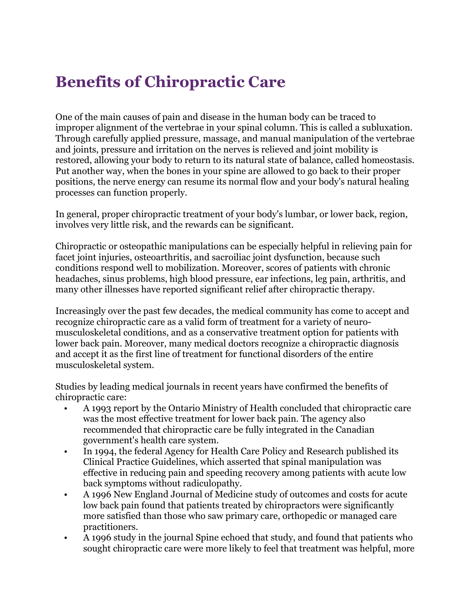## **Benefits of Chiropractic Care**

One of the main causes of pain and disease in the human body can be traced to improper alignment of the vertebrae in your spinal column. This is called a subluxation. Through carefully applied pressure, massage, and manual manipulation of the vertebrae and joints, pressure and irritation on the nerves is relieved and joint mobility is restored, allowing your body to return to its natural state of balance, called homeostasis. Put another way, when the bones in your spine are allowed to go back to their proper positions, the nerve energy can resume its normal flow and your body's natural healing processes can function properly.

In general, proper chiropractic treatment of your body's lumbar, or lower back, region, involves very little risk, and the rewards can be significant.

Chiropractic or osteopathic manipulations can be especially helpful in relieving pain for facet joint injuries, osteoarthritis, and sacroiliac joint dysfunction, because such conditions respond well to mobilization. Moreover, scores of patients with chronic headaches, sinus problems, high blood pressure, ear infections, leg pain, arthritis, and many other illnesses have reported significant relief after chiropractic therapy.

Increasingly over the past few decades, the medical community has come to accept and recognize chiropractic care as a valid form of treatment for a variety of neuromusculoskeletal conditions, and as a conservative treatment option for patients with lower back pain. Moreover, many medical doctors recognize a chiropractic diagnosis and accept it as the first line of treatment for functional disorders of the entire musculoskeletal system.

Studies by leading medical journals in recent years have confirmed the benefits of chiropractic care:

- A 1993 report by the Ontario Ministry of Health concluded that chiropractic care was the most effective treatment for lower back pain. The agency also recommended that chiropractic care be fully integrated in the Canadian government's health care system.
- In 1994, the federal Agency for Health Care Policy and Research published its Clinical Practice Guidelines, which asserted that spinal manipulation was effective in reducing pain and speeding recovery among patients with acute low back symptoms without radiculopathy.
- A 1996 New England Journal of Medicine study of outcomes and costs for acute low back pain found that patients treated by chiropractors were significantly more satisfied than those who saw primary care, orthopedic or managed care practitioners.
- A 1996 study in the journal Spine echoed that study, and found that patients who sought chiropractic care were more likely to feel that treatment was helpful, more